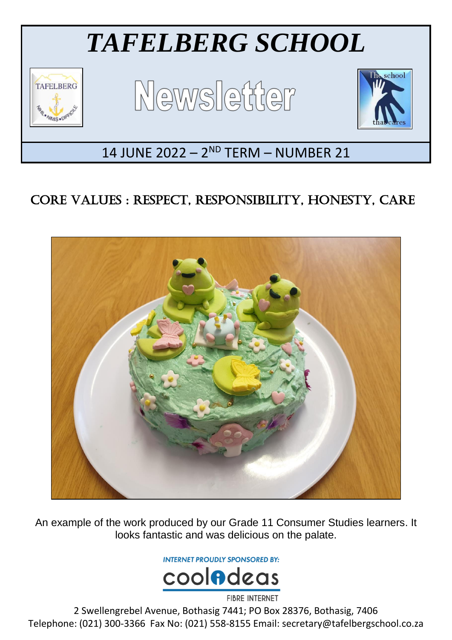

## CORE VALUES : RESPECT, RESPONSIBILITY, HONESTY, CARE



An example of the work produced by our Grade 11 Consumer Studies learners. It looks fantastic and was delicious on the palate.

**INTERNET PROUDLY SPONSORED BY:** 



**FIBRE INTERNET** 

2 Swellengrebel Avenue, Bothasig 7441; PO Box 28376, Bothasig, 7406 Telephone: (021) 300-3366 Fax No: (021) 558-8155 Email: secretary@tafelbergschool.co.za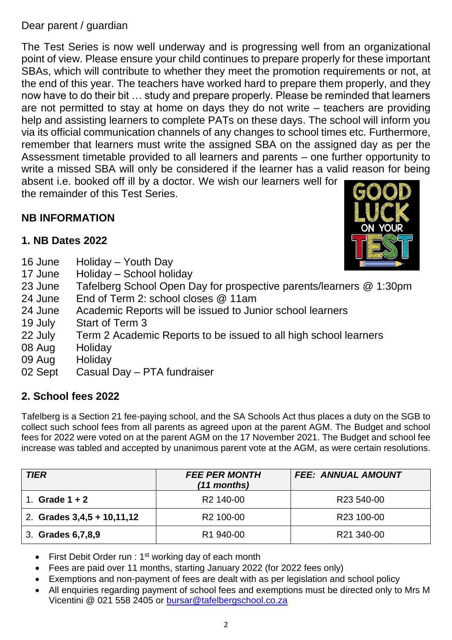#### Dear parent / guardian

The Test Series is now well underway and is progressing well from an organizational point of view. Please ensure your child continues to prepare properly for these important SBAs, which will contribute to whether they meet the promotion requirements or not, at the end of this year. The teachers have worked hard to prepare them properly, and they now have to do their bit … study and prepare properly. Please be reminded that learners are not permitted to stay at home on days they do not write – teachers are providing help and assisting learners to complete PATs on these days. The school will inform you via its official communication channels of any changes to school times etc. Furthermore, remember that learners must write the assigned SBA on the assigned day as per the Assessment timetable provided to all learners and parents – one further opportunity to write a missed SBA will only be considered if the learner has a valid reason for being absent i.e. booked off ill by a doctor. We wish our learners well for

the remainder of this Test Series.

#### **NB INFORMATION**

#### **1. NB Dates 2022**

- 16 June Holiday Youth Day
- 17 June Holiday School holiday
- 23 June Tafelberg School Open Day for prospective parents/learners @ 1:30pm
- 24 June End of Term 2: school closes @ 11am
- 24 June Academic Reports will be issued to Junior school learners
- 19 July Start of Term 3
- 22 July Term 2 Academic Reports to be issued to all high school learners
- 08 Aug Holiday
- 09 Aug Holiday
- 02 Sept Casual Day PTA fundraiser

#### **2. School fees 2022**

Tafelberg is a Section 21 fee-paying school, and the SA Schools Act thus places a duty on the SGB to collect such school fees from all parents as agreed upon at the parent AGM. The Budget and school fees for 2022 were voted on at the parent AGM on the 17 November 2021. The Budget and school fee increase was tabled and accepted by unanimous parent vote at the AGM, as were certain resolutions.

| <b>TIER</b>                  | <b>FEE PER MONTH</b><br>(11 months) | <b>FEE: ANNUAL AMOUNT</b> |
|------------------------------|-------------------------------------|---------------------------|
| Grade $1 + 2$                | R <sub>2</sub> 140-00               | R23 540-00                |
| 2. Grades $3,4,5 + 10,11,12$ | R <sub>2</sub> 100-00               | R23 100-00                |
| 3. Grades 6, 7, 8, 9         | R <sub>1</sub> 940-00               | R21 340-00                |

- First Debit Order run : 1<sup>st</sup> working day of each month
- Fees are paid over 11 months, starting January 2022 (for 2022 fees only)
- Exemptions and non-payment of fees are dealt with as per legislation and school policy
- All enquiries regarding payment of school fees and exemptions must be directed only to Mrs M Vicentini @ 021 558 2405 or [bursar@tafelbergschool.co.za](mailto:bursar@tafelbergschool.co.za)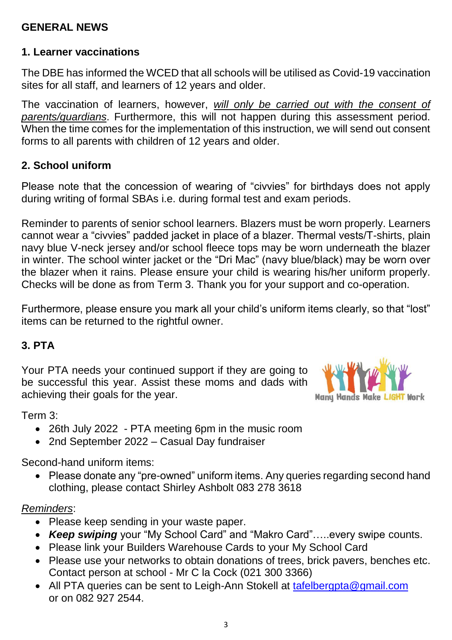#### **GENERAL NEWS**

#### **1. Learner vaccinations**

The DBE has informed the WCED that all schools will be utilised as Covid-19 vaccination sites for all staff, and learners of 12 years and older.

The vaccination of learners, however, *will only be carried out with the consent of parents/guardians*. Furthermore, this will not happen during this assessment period. When the time comes for the implementation of this instruction, we will send out consent forms to all parents with children of 12 years and older.

#### **2. School uniform**

Please note that the concession of wearing of "civvies" for birthdays does not apply during writing of formal SBAs i.e. during formal test and exam periods.

Reminder to parents of senior school learners. Blazers must be worn properly. Learners cannot wear a "civvies" padded jacket in place of a blazer. Thermal vests/T-shirts, plain navy blue V-neck jersey and/or school fleece tops may be worn underneath the blazer in winter. The school winter jacket or the "Dri Mac" (navy blue/black) may be worn over the blazer when it rains. Please ensure your child is wearing his/her uniform properly. Checks will be done as from Term 3. Thank you for your support and co-operation.

Furthermore, please ensure you mark all your child's uniform items clearly, so that "lost" items can be returned to the rightful owner.

#### **3. PTA**

Your PTA needs your continued support if they are going to be successful this year. Assist these moms and dads with achieving their goals for the year.



Term 3:

- 26th July 2022 PTA meeting 6pm in the music room
- 2nd September 2022 Casual Day fundraiser

Second-hand uniform items:

• Please donate any "pre-owned" uniform items. Any queries regarding second hand clothing, please contact Shirley Ashbolt 083 278 3618

#### *Reminders*:

- Please keep sending in your waste paper.
- *Keep swiping* your "My School Card" and "Makro Card"…..every swipe counts.
- Please link your Builders Warehouse Cards to your My School Card
- Please use your networks to obtain donations of trees, brick pavers, benches etc. Contact person at school - Mr C la Cock (021 300 3366)
- All PTA queries can be sent to Leigh-Ann Stokell at [tafelbergpta@gmail.com](mailto:tafelbergpta@gmail.com) or on 082 927 2544.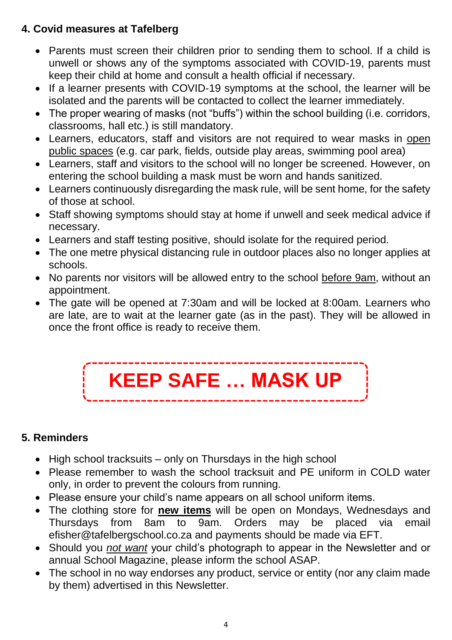### **4. Covid measures at Tafelberg**

- Parents must screen their children prior to sending them to school. If a child is unwell or shows any of the symptoms associated with COVID-19, parents must keep their child at home and consult a health official if necessary.
- If a learner presents with COVID-19 symptoms at the school, the learner will be isolated and the parents will be contacted to collect the learner immediately.
- The proper wearing of masks (not "buffs") within the school building (i.e. corridors, classrooms, hall etc.) is still mandatory.
- Learners, educators, staff and visitors are not required to wear masks in open public spaces (e.g. car park, fields, outside play areas, swimming pool area)
- Learners, staff and visitors to the school will no longer be screened. However, on entering the school building a mask must be worn and hands sanitized.
- Learners continuously disregarding the mask rule, will be sent home, for the safety of those at school.
- Staff showing symptoms should stay at home if unwell and seek medical advice if necessary.
- Learners and staff testing positive, should isolate for the required period.
- The one metre physical distancing rule in outdoor places also no longer applies at schools.
- No parents nor visitors will be allowed entry to the school before 9am, without an appointment.
- The gate will be opened at 7:30am and will be locked at 8:00am. Learners who are late, are to wait at the learner gate (as in the past). They will be allowed in once the front office is ready to receive them.



#### **5. Reminders**

- $\bullet$  High school tracksuits only on Thursdays in the high school
- Please remember to wash the school tracksuit and PE uniform in COLD water only, in order to prevent the colours from running.
- Please ensure your child's name appears on all school uniform items.
- The clothing store for **new items** will be open on Mondays, Wednesdays and Thursdays from 8am to 9am. Orders may be placed via email efisher@tafelbergschool.co.za and payments should be made via EFT.
- Should you *not want* your child's photograph to appear in the Newsletter and or annual School Magazine, please inform the school ASAP.
- The school in no way endorses any product, service or entity (nor any claim made by them) advertised in this Newsletter.